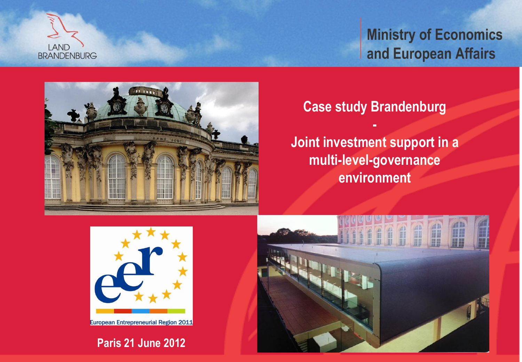



#### **Case study Brandenburg**

**-**

**Joint investment support in a multi-level-governance environment**



European Entrepreneurial Region 2011

**Paris 21 June 2012**

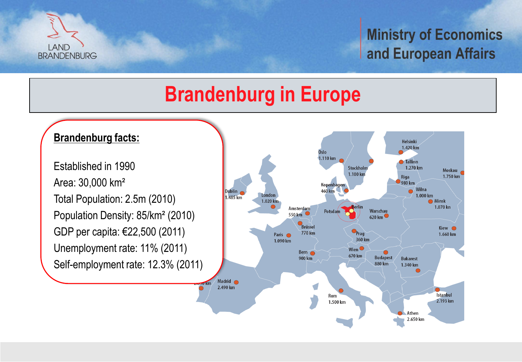

## **Brandenburg in Europe**

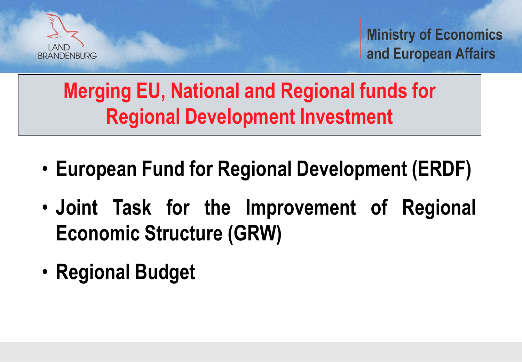

## **Merging EU, National and Regional funds for Regional Development Investment**

- **European Fund for Regional Development (ERDF)**
- **Joint Task for the Improvement of Regional Economic Structure (GRW)**
- **Regional Budget**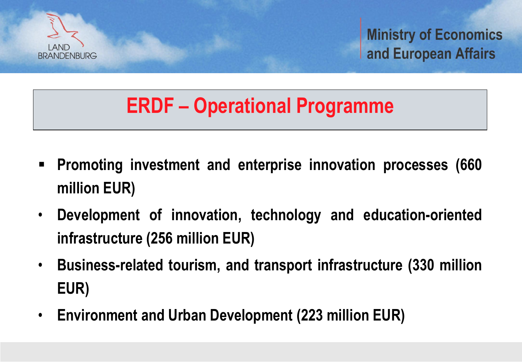

### **ERDF – Operational Programme**

- **Promoting investment and enterprise innovation processes (660 million EUR)**
- **Development of innovation, technology and education-oriented infrastructure (256 million EUR)**
- **Business-related tourism, and transport infrastructure (330 million EUR)**
- **Environment and Urban Development (223 million EUR)**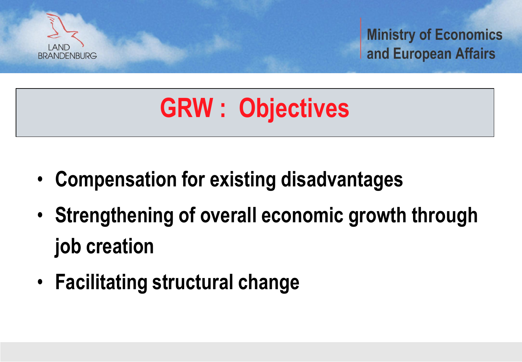

# **GRW : Objectives**

- **Compensation for existing disadvantages**
- **Strengthening of overall economic growth through job creation**
- **Facilitating structural change**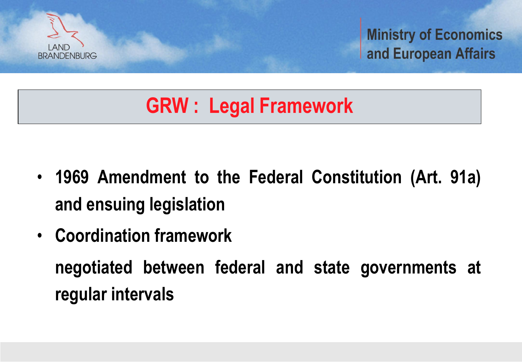

# **GRW : Legal Framework**

- **1969 Amendment to the Federal Constitution (Art. 91a) and ensuing legislation**
- **Coordination framework**

**negotiated between federal and state governments at regular intervals**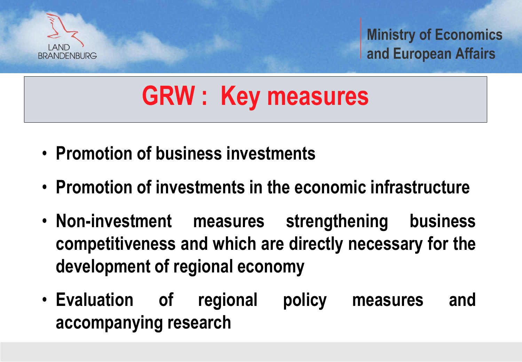

# **GRW : Key measures**

- **Promotion of business investments**
- **Promotion of investments in the economic infrastructure**
- **Non-investment measures strengthening business competitiveness and which are directly necessary for the development of regional economy**
- **Evaluation of regional policy measures and accompanying research**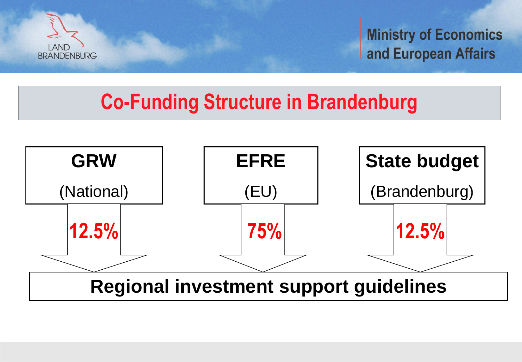

### **Co-Funding Structure in Brandenburg**

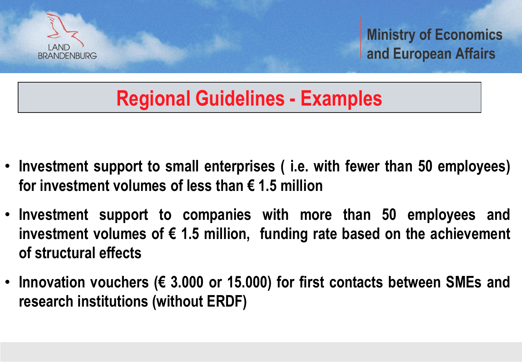

## **Regional Guidelines - Examples**

- **Investment support to small enterprises ( i.e. with fewer than 50 employees) for investment volumes of less than € 1.5 million**
- **Investment support to companies with more than 50 employees and investment volumes of € 1.5 million, funding rate based on the achievement of structural effects**
- **Innovation vouchers (€ 3.000 or 15.000) for first contacts between SMEs and research institutions (without ERDF)**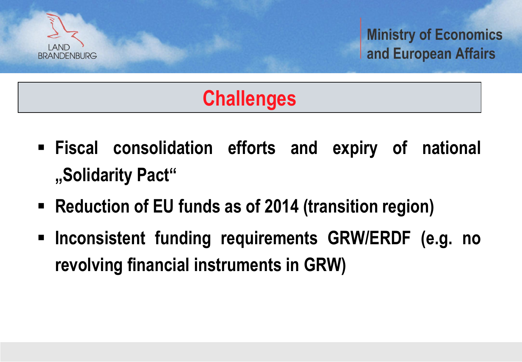

# **Challenges**

- **Fiscal consolidation efforts and expiry of national "Solidarity Pact"**
- **Reduction of EU funds as of 2014 (transition region)**
- **Inconsistent funding requirements GRW/ERDF (e.g. no revolving financial instruments in GRW)**